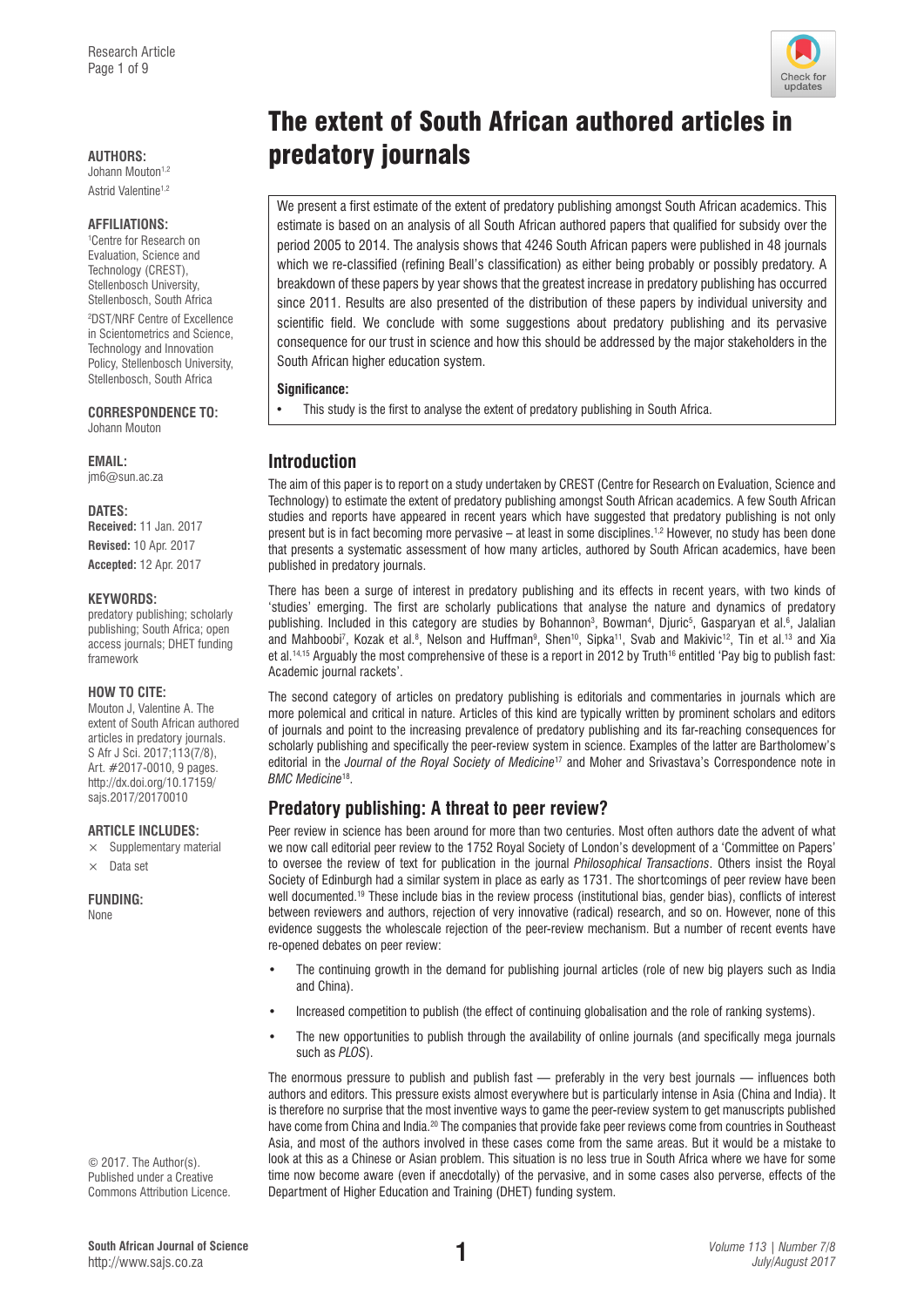AUTHORS: **predatory journals** Astrid Valentine<sup>1,2</sup>

## **AFFILIATIONS:**

1 Centre for Research on Evaluation, Science and Technology (CREST), Stellenbosch University, Stellenbosch, South Africa 2 DST/NRF Centre of Excellence in Scientometrics and Science, Technology and Innovation Policy, Stellenbosch University, Stellenbosch, South Africa

**CORRESPONDENCE TO:**  Johann Mouton

**EMAIL:** 

[jm6@sun.ac.za](mailto:jm6@sun.ac.za)

#### **DATES:**

**Received:** 11 Jan. 2017 **Revised:** 10 Apr. 2017 **Accepted:** 12 Apr. 2017

#### **KEYWORDS:**

predatory publishing; scholarly publishing; South Africa; open access journals; DHET funding framework

#### **HOW TO CITE:**

Mouton J, Valentine A. The extent of South African authored articles in predatory journals. S Afr J Sci. 2017;113(7/8), Art. #2017-0010, 9 pages. [http://dx.doi.org/10.17159/](http://dx.doi.org/10.17159/sajs.2017/20170010) [sajs.2017/20170010](http://dx.doi.org/10.17159/sajs.2017/20170010)

### **ARTICLE INCLUDES:**

- $\times$  Supplementary material
- $\times$  Data set

**FUNDING:** 

None

© 2017. The Author(s). Published under a Creative Commons Attribution Licence.



We present a first estimate of the extent of predatory publishing amongst South African academics. This estimate is based on an analysis of all South African authored papers that qualified for subsidy over the period 2005 to 2014. The analysis shows that 4246 South African papers were published in 48 journals which we re-classified (refining Beall's classification) as either being probably or possibly predatory. A breakdown of these papers by year shows that the greatest increase in predatory publishing has occurred since 2011. Results are also presented of the distribution of these papers by individual university and scientific field. We conclude with some suggestions about predatory publishing and its pervasive consequence for our trust in science and how this should be addressed by the major stakeholders in the South African higher education system.

#### **Significance:**

This study is the first to analyse the extent of predatory publishing in South Africa.

# **Introduction**

The aim of this paper is to report on a study undertaken by CREST (Centre for Research on Evaluation, Science and Technology) to estimate the extent of predatory publishing amongst South African academics. A few South African studies and reports have appeared in recent years which have suggested that predatory publishing is not only present but is in fact becoming more pervasive – at least in some disciplines.<sup>1,2</sup> However, no study has been done that presents a systematic assessment of how many articles, authored by South African academics, have been published in predatory journals.

There has been a surge of interest in predatory publishing and its effects in recent years, with two kinds of 'studies' emerging. The first are scholarly publications that analyse the nature and dynamics of predatory publishing. Included in this category are studies by Bohannon<sup>3</sup>, Bowman<sup>4</sup>, Djuric<sup>5</sup>, Gasparyan et al.<sup>6</sup>, Jalalian and Mahboobi<sup>7</sup>, Kozak et al.<sup>8</sup>, Nelson and Huffman<sup>9</sup>, Shen<sup>10</sup>, Sipka<sup>11</sup>, Svab and Makivic<sup>12</sup>, Tin et al.<sup>13</sup> and Xia et al.<sup>14,15</sup> Arguably the most comprehensive of these is a report in 2012 by Truth<sup>16</sup> entitled 'Pay big to publish fast: Academic journal rackets'.

The second category of articles on predatory publishing is editorials and commentaries in journals which are more polemical and critical in nature. Articles of this kind are typically written by prominent scholars and editors of journals and point to the increasing prevalence of predatory publishing and its far-reaching consequences for scholarly publishing and specifically the peer-review system in science. Examples of the latter are Bartholomew's editorial in the *Journal of the Royal Society of Medicine*17 and Moher and Srivastava's Correspondence note in *BMC Medicine*18.

# **Predatory publishing: A threat to peer review?**

Peer review in science has been around for more than two centuries. Most often authors date the advent of what we now call editorial peer review to the 1752 Royal Society of London's development of a 'Committee on Papers' to oversee the review of text for publication in the journal *Philosophical Transactions*. Others insist the Royal Society of Edinburgh had a similar system in place as early as 1731. The shortcomings of peer review have been well documented.<sup>19</sup> These include bias in the review process (institutional bias, gender bias), conflicts of interest between reviewers and authors, rejection of very innovative (radical) research, and so on. However, none of this evidence suggests the wholescale rejection of the peer-review mechanism. But a number of recent events have re-opened debates on peer review:

- The continuing growth in the demand for publishing journal articles (role of new big players such as India and China).
- Increased competition to publish (the effect of continuing globalisation and the role of ranking systems).
- The new opportunities to publish through the availability of online journals (and specifically mega journals such as *PLOS*).

The enormous pressure to publish and publish fast — preferably in the very best journals — influences both authors and editors. This pressure exists almost everywhere but is particularly intense in Asia (China and India). It is therefore no surprise that the most inventive ways to game the peer-review system to get manuscripts published have come from China and India.20 The companies that provide fake peer reviews come from countries in Southeast Asia, and most of the authors involved in these cases come from the same areas. But it would be a mistake to look at this as a Chinese or Asian problem. This situation is no less true in South Africa where we have for some time now become aware (even if anecdotally) of the pervasive, and in some cases also perverse, effects of the Department of Higher Education and Training (DHET) funding system.

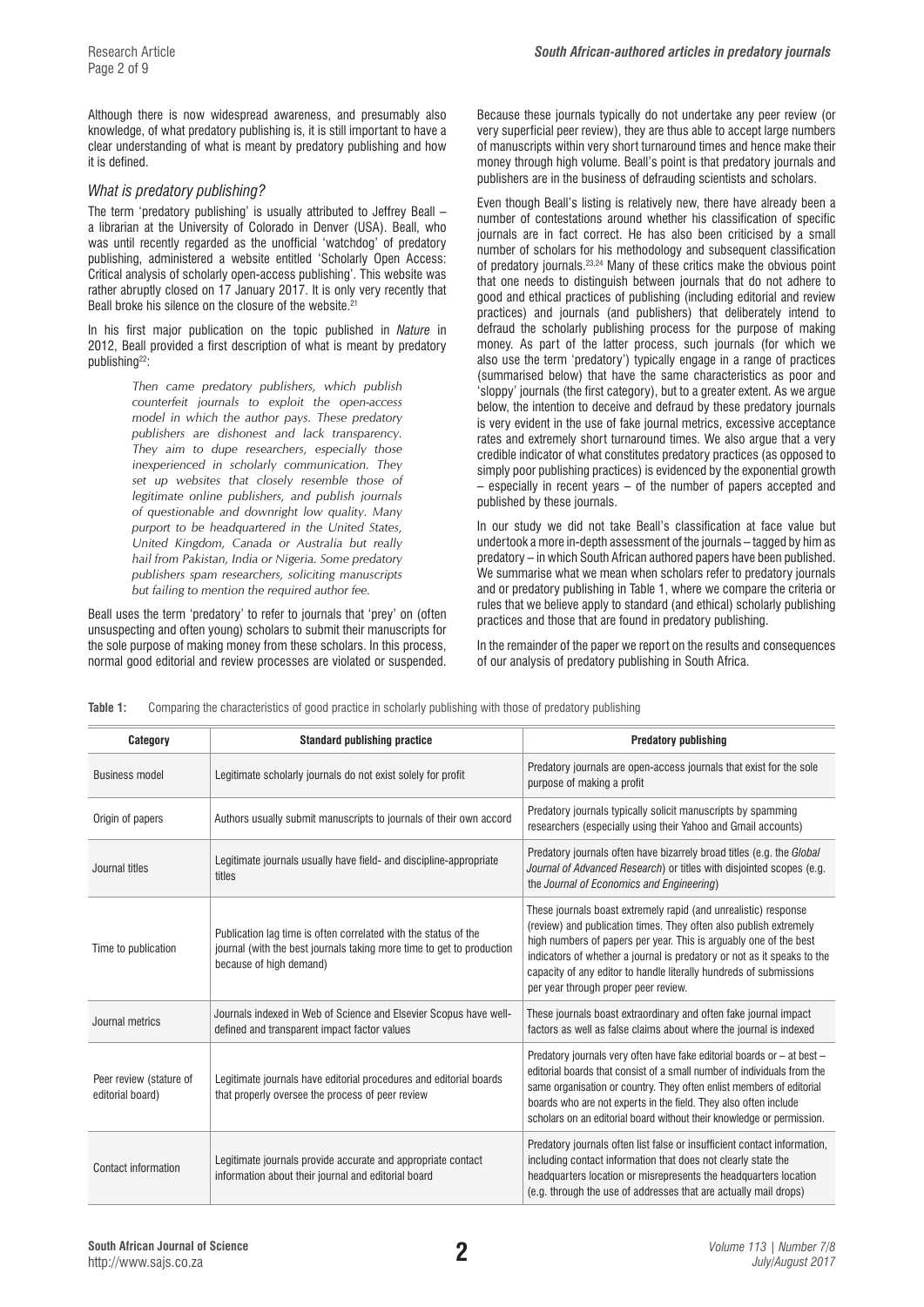Although there is now widespread awareness, and presumably also knowledge, of what predatory publishing is, it is still important to have a clear understanding of what is meant by predatory publishing and how it is defined.

## *What is predatory publishing?*

The term 'predatory publishing' is usually attributed to Jeffrey Beall – a librarian at the University of Colorado in Denver (USA). Beall, who was until recently regarded as the unofficial 'watchdog' of predatory publishing, administered a website entitled 'Scholarly Open Access: Critical analysis of scholarly open-access publishing'. This website was rather abruptly closed on 17 January 2017. It is only very recently that Beall broke his silence on the closure of the website.<sup>21</sup>

In his first major publication on the topic published in *Nature* in 2012, Beall provided a first description of what is meant by predatory publishing<sup>22</sup>:

> *Then came predatory publishers, which publish counterfeit journals to exploit the open-access model in which the author pays. These predatory publishers are dishonest and lack transparency. They aim to dupe researchers, especially those inexperienced in scholarly communication. They set up websites that closely resemble those of legitimate online publishers, and publish journals of questionable and downright low quality. Many purport to be headquartered in the United States, United Kingdom, Canada or Australia but really hail from Pakistan, India or Nigeria. Some predatory publishers spam researchers, soliciting manuscripts but failing to mention the required author fee.*

Beall uses the term 'predatory' to refer to journals that 'prey' on (often unsuspecting and often young) scholars to submit their manuscripts for the sole purpose of making money from these scholars. In this process, normal good editorial and review processes are violated or suspended.

Because these journals typically do not undertake any peer review (or very superficial peer review), they are thus able to accept large numbers of manuscripts within very short turnaround times and hence make their money through high volume. Beall's point is that predatory journals and publishers are in the business of defrauding scientists and scholars.

Even though Beall's listing is relatively new, there have already been a number of contestations around whether his classification of specific journals are in fact correct. He has also been criticised by a small number of scholars for his methodology and subsequent classification of predatory journals.23,24 Many of these critics make the obvious point that one needs to distinguish between journals that do not adhere to good and ethical practices of publishing (including editorial and review practices) and journals (and publishers) that deliberately intend to defraud the scholarly publishing process for the purpose of making money. As part of the latter process, such journals (for which we also use the term 'predatory') typically engage in a range of practices (summarised below) that have the same characteristics as poor and 'sloppy' journals (the first category), but to a greater extent. As we argue below, the intention to deceive and defraud by these predatory journals is very evident in the use of fake journal metrics, excessive acceptance rates and extremely short turnaround times. We also argue that a very credible indicator of what constitutes predatory practices (as opposed to simply poor publishing practices) is evidenced by the exponential growth – especially in recent years – of the number of papers accepted and published by these journals.

In our study we did not take Beall's classification at face value but undertook a more in-depth assessment of the journals – tagged by him as predatory – in which South African authored papers have been published. We summarise what we mean when scholars refer to predatory journals and or predatory publishing in Table 1, where we compare the criteria or rules that we believe apply to standard (and ethical) scholarly publishing practices and those that are found in predatory publishing.

In the remainder of the paper we report on the results and consequences of our analysis of predatory publishing in South Africa.

| Category                                    | <b>Standard publishing practice</b>                                                                                                                                 | <b>Predatory publishing</b>                                                                                                                                                                                                                                                                                                                                                                        |  |  |  |  |
|---------------------------------------------|---------------------------------------------------------------------------------------------------------------------------------------------------------------------|----------------------------------------------------------------------------------------------------------------------------------------------------------------------------------------------------------------------------------------------------------------------------------------------------------------------------------------------------------------------------------------------------|--|--|--|--|
| <b>Business model</b>                       | Legitimate scholarly journals do not exist solely for profit                                                                                                        | Predatory journals are open-access journals that exist for the sole<br>purpose of making a profit                                                                                                                                                                                                                                                                                                  |  |  |  |  |
| Origin of papers                            | Authors usually submit manuscripts to journals of their own accord                                                                                                  | Predatory journals typically solicit manuscripts by spamming<br>researchers (especially using their Yahoo and Gmail accounts)                                                                                                                                                                                                                                                                      |  |  |  |  |
| Journal titles                              | Legitimate journals usually have field- and discipline-appropriate<br>titles                                                                                        | Predatory journals often have bizarrely broad titles (e.g. the Global<br>Journal of Advanced Research) or titles with disjointed scopes (e.g.<br>the Journal of Economics and Engineering)                                                                                                                                                                                                         |  |  |  |  |
| Time to publication                         | Publication lag time is often correlated with the status of the<br>journal (with the best journals taking more time to get to production<br>because of high demand) | These journals boast extremely rapid (and unrealistic) response<br>(review) and publication times. They often also publish extremely<br>high numbers of papers per year. This is arguably one of the best<br>indicators of whether a journal is predatory or not as it speaks to the<br>capacity of any editor to handle literally hundreds of submissions<br>per year through proper peer review. |  |  |  |  |
| Journal metrics                             | Journals indexed in Web of Science and Elsevier Scopus have well-<br>defined and transparent impact factor values                                                   | These journals boast extraordinary and often fake journal impact<br>factors as well as false claims about where the journal is indexed                                                                                                                                                                                                                                                             |  |  |  |  |
| Peer review (stature of<br>editorial board) | Legitimate journals have editorial procedures and editorial boards<br>that properly oversee the process of peer review                                              | Predatory journals very often have fake editorial boards or - at best -<br>editorial boards that consist of a small number of individuals from the<br>same organisation or country. They often enlist members of editorial<br>boards who are not experts in the field. They also often include<br>scholars on an editorial board without their knowledge or permission.                            |  |  |  |  |
| Contact information                         | Legitimate journals provide accurate and appropriate contact<br>information about their journal and editorial board                                                 | Predatory journals often list false or insufficient contact information,<br>including contact information that does not clearly state the<br>headquarters location or misrepresents the headquarters location<br>(e.g. through the use of addresses that are actually mail drops)                                                                                                                  |  |  |  |  |

**Table 1:** Comparing the characteristics of good practice in scholarly publishing with those of predatory publishing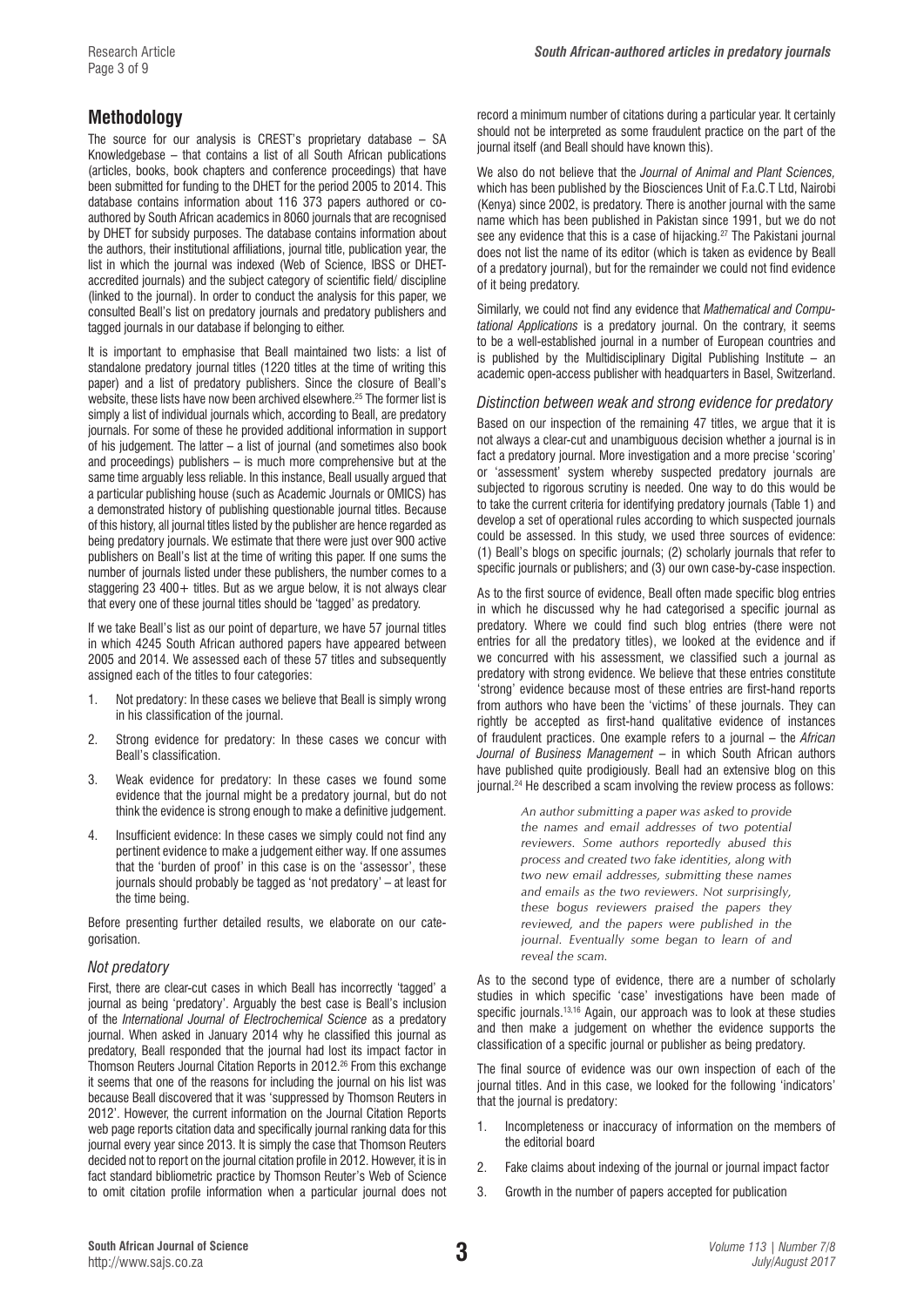# **Methodology**

The source for our analysis is CREST's proprietary database – SA Knowledgebase – that contains a list of all South African publications (articles, books, book chapters and conference proceedings) that have been submitted for funding to the DHET for the period 2005 to 2014. This database contains information about 116 373 papers authored or coauthored by South African academics in 8060 journals that are recognised by DHET for subsidy purposes. The database contains information about the authors, their institutional affiliations, journal title, publication year, the list in which the journal was indexed (Web of Science, IBSS or DHETaccredited journals) and the subject category of scientific field/ discipline (linked to the journal). In order to conduct the analysis for this paper, we consulted Beall's list on predatory journals and predatory publishers and tagged journals in our database if belonging to either.

It is important to emphasise that Beall maintained two lists: a list of standalone predatory journal titles (1220 titles at the time of writing this paper) and a list of predatory publishers. Since the closure of Beall's website, these lists have now been archived elsewhere.<sup>25</sup> The former list is simply a list of individual journals which, according to Beall, are predatory journals. For some of these he provided additional information in support of his judgement. The latter – a list of journal (and sometimes also book and proceedings) publishers – is much more comprehensive but at the same time arguably less reliable. In this instance, Beall usually argued that a particular publishing house (such as Academic Journals or OMICS) has a demonstrated history of publishing questionable journal titles. Because of this history, all journal titles listed by the publisher are hence regarded as being predatory journals. We estimate that there were just over 900 active publishers on Beall's list at the time of writing this paper. If one sums the number of journals listed under these publishers, the number comes to a staggering  $23\,400+$  titles. But as we argue below, it is not always clear that every one of these journal titles should be 'tagged' as predatory.

If we take Beall's list as our point of departure, we have 57 journal titles in which 4245 South African authored papers have appeared between 2005 and 2014. We assessed each of these 57 titles and subsequently assigned each of the titles to four categories:

- 1. Not predatory: In these cases we believe that Beall is simply wrong in his classification of the journal.
- 2. Strong evidence for predatory: In these cases we concur with Beall's classification.
- 3. Weak evidence for predatory: In these cases we found some evidence that the journal might be a predatory journal, but do not think the evidence is strong enough to make a definitive judgement.
- 4. Insufficient evidence: In these cases we simply could not find any pertinent evidence to make a judgement either way. If one assumes that the 'burden of proof' in this case is on the 'assessor', these journals should probably be tagged as 'not predatory' – at least for the time being.

Before presenting further detailed results, we elaborate on our categorisation.

# *Not predatory*

First, there are clear-cut cases in which Beall has incorrectly 'tagged' a journal as being 'predatory'. Arguably the best case is Beall's inclusion of the *International Journal of Electrochemical Science* as a predatory journal. When asked in January 2014 why he classified this journal as predatory, Beall responded that the journal had lost its impact factor in Thomson Reuters Journal Citation Reports in 2012.26 From this exchange it seems that one of the reasons for including the journal on his list was because Beall discovered that it was 'suppressed by Thomson Reuters in 2012'. However, the current information on the Journal Citation Reports web page reports citation data and specifically journal ranking data for this journal every year since 2013. It is simply the case that Thomson Reuters decided not to report on the journal citation profile in 2012. However, it is in fact standard bibliometric practice by Thomson Reuter's Web of Science to omit citation profile information when a particular journal does not

record a minimum number of citations during a particular year. It certainly should not be interpreted as some fraudulent practice on the part of the journal itself (and Beall should have known this).

We also do not believe that the *Journal of Animal and Plant Sciences,*  which has been published by the Biosciences Unit of F.a.C.T Ltd, Nairobi (Kenya) since 2002, is predatory. There is another journal with the same name which has been published in Pakistan since 1991, but we do not see any evidence that this is a case of hijacking.<sup>27</sup> The Pakistani journal does not list the name of its editor (which is taken as evidence by Beall of a predatory journal), but for the remainder we could not find evidence of it being predatory.

Similarly, we could not find any evidence that *Mathematical and Computational Applications* is a predatory journal. On the contrary, it seems to be a well-established journal in a number of European countries and is published by the Multidisciplinary Digital Publishing Institute – an academic open-access publisher with headquarters in Basel, Switzerland.

#### *Distinction between weak and strong evidence for predatory*

Based on our inspection of the remaining 47 titles, we argue that it is not always a clear-cut and unambiguous decision whether a journal is in fact a predatory journal. More investigation and a more precise 'scoring' or 'assessment' system whereby suspected predatory journals are subjected to rigorous scrutiny is needed. One way to do this would be to take the current criteria for identifying predatory journals (Table 1) and develop a set of operational rules according to which suspected journals could be assessed. In this study, we used three sources of evidence: (1) Beall's blogs on specific journals; (2) scholarly journals that refer to specific journals or publishers; and (3) our own case-by-case inspection.

As to the first source of evidence, Beall often made specific blog entries in which he discussed why he had categorised a specific journal as predatory. Where we could find such blog entries (there were not entries for all the predatory titles), we looked at the evidence and if we concurred with his assessment, we classified such a journal as predatory with strong evidence. We believe that these entries constitute 'strong' evidence because most of these entries are first-hand reports from authors who have been the 'victims' of these journals. They can rightly be accepted as first-hand qualitative evidence of instances of fraudulent practices. One example refers to a journal – the *African Journal of Business Management* – in which South African authors have published quite prodigiously. Beall had an extensive blog on this journal.<sup>24</sup> He described a scam involving the review process as follows:

> *An author submitting a paper was asked to provide the names and email addresses of two potential reviewers. Some authors reportedly abused this process and created two fake identities, along with two new email addresses, submitting these names and emails as the two reviewers. Not surprisingly, these bogus reviewers praised the papers they reviewed, and the papers were published in the journal. Eventually some began to learn of and reveal the scam.*

As to the second type of evidence, there are a number of scholarly studies in which specific 'case' investigations have been made of specific journals.<sup>13,16</sup> Again, our approach was to look at these studies and then make a judgement on whether the evidence supports the classification of a specific journal or publisher as being predatory.

The final source of evidence was our own inspection of each of the journal titles. And in this case, we looked for the following 'indicators' that the journal is predatory:

- 1. Incompleteness or inaccuracy of information on the members of the editorial board
- 2. Fake claims about indexing of the journal or journal impact factor
- 3. Growth in the number of papers accepted for publication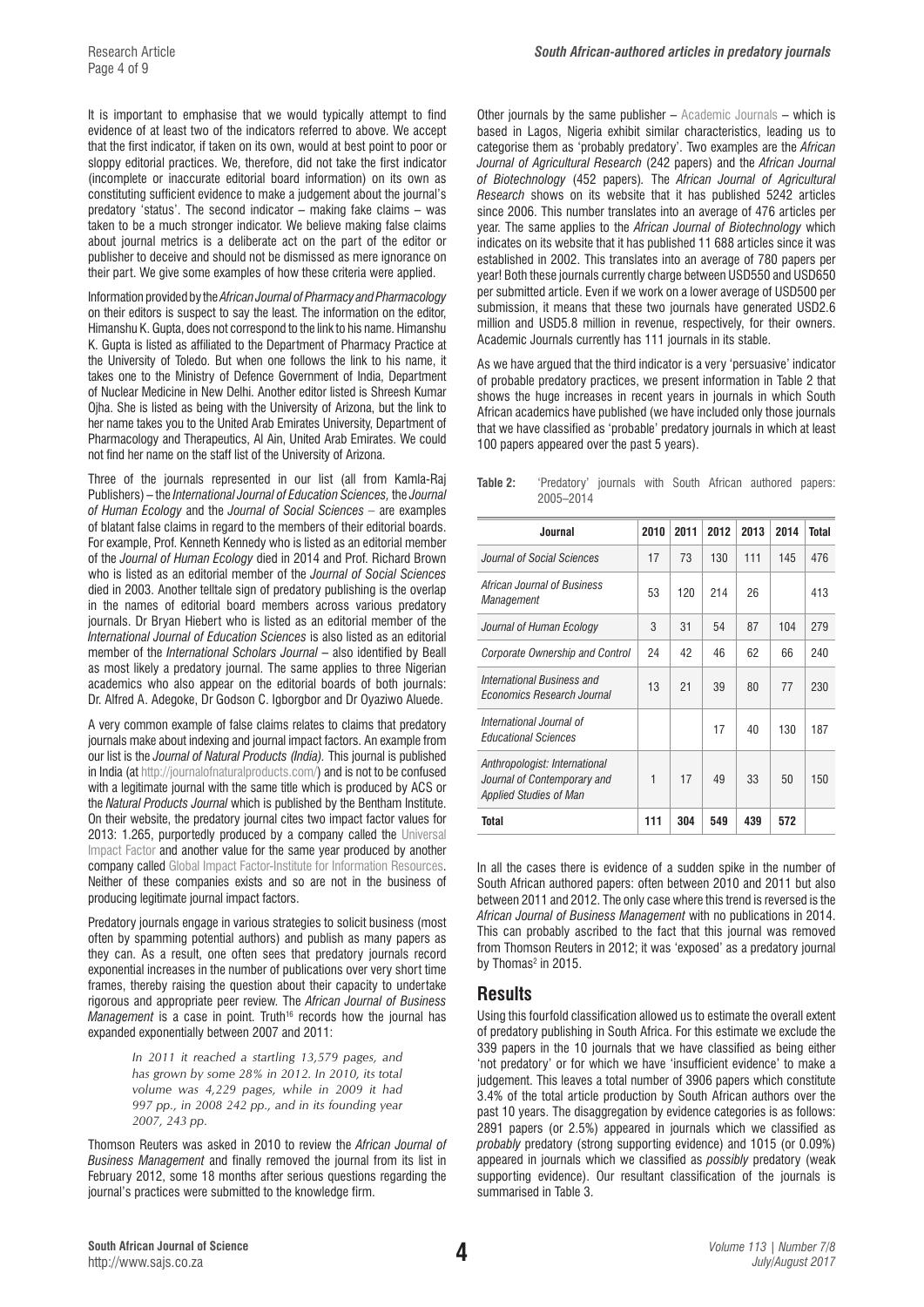It is important to emphasise that we would typically attempt to find evidence of at least two of the indicators referred to above. We accept that the first indicator, if taken on its own, would at best point to poor or sloppy editorial practices. We, therefore, did not take the first indicator (incomplete or inaccurate editorial board information) on its own as constituting sufficient evidence to make a judgement about the journal's predatory 'status'. The second indicator – making fake claims – was taken to be a much stronger indicator. We believe making false claims about journal metrics is a deliberate act on the part of the editor or publisher to deceive and should not be dismissed as mere ignorance on their part. We give some examples of how these criteria were applied.

Information provided by the *African Journal of Pharmacy and Pharmacology*  on their editors is suspect to say the least. The information on the editor, Himanshu K. Gupta, does not correspond to the link to his name. Himanshu K. Gupta is listed as affiliated to the Department of Pharmacy Practice at the University of Toledo. But when one follows the link to his name, it takes one to the Ministry of Defence Government of India, Department of Nuclear Medicine in New Delhi. Another editor listed is Shreesh Kumar Ojha. She is listed as being with the University of Arizona, but the link to her name takes you to the United Arab Emirates University, Department of Pharmacology and Therapeutics, Al Ain, United Arab Emirates. We could not find her name on the staff list of the University of Arizona.

Three of the journals represented in our list (all from Kamla-Raj Publishers) – the *International Journal of Education Sciences,* the *Journal of Human Ecology* and the *Journal of Social Sciences –* are examples of blatant false claims in regard to the members of their editorial boards. For example, Prof. Kenneth Kennedy who is listed as an editorial member of the *Journal of Human Ecology* died in 2014 and Prof. Richard Brown who is listed as an editorial member of the *Journal of Social Sciences* died in 2003. Another telltale sign of predatory publishing is the overlap in the names of editorial board members across various predatory journals. Dr Bryan Hiebert who is listed as an editorial member of the *International Journal of Education Sciences* is also listed as an editorial member of the *International Scholars Journal* – also identified by Beall as most likely a predatory journal. The same applies to three Nigerian academics who also appear on the editorial boards of both journals: Dr. Alfred A. Adegoke, Dr Godson C. Igborgbor and Dr Oyaziwo Aluede.

A very common example of false claims relates to claims that predatory journals make about indexing and journal impact factors. An example from our list is the *Journal of Natural Products (India).* This journal is published in India (at<http://journalofnaturalproducts.com/>) and is not to be confused with a legitimate journal with the same title which is produced by ACS or the *Natural Products Journal* which is published by the Bentham Institute. On their website, the predatory journal cites two impact factor values for 2013: 1.265, purportedly produced by a company called the [Universal](http://www.uifactor.org/Certificate.aspx?jid=496)  [Impact Factor](http://www.uifactor.org/Certificate.aspx?jid=496) and another value for the same year produced by another company called [Global Impact Factor-Institute for Information Resources.](http://journalofnaturalproducts.com/jnpabstract.html) Neither of these companies exists and so are not in the business of producing legitimate journal impact factors.

Predatory journals engage in various strategies to solicit business (most often by spamming potential authors) and publish as many papers as they can. As a result, one often sees that predatory journals record exponential increases in the number of publications over very short time frames, thereby raising the question about their capacity to undertake rigorous and appropriate peer review. The *African Journal of Business Management* is a case in point. Truth<sup>16</sup> records how the journal has expanded exponentially between 2007 and 2011:

> *In 2011 it reached a startling 13,579 pages, and has grown by some 28% in 2012. In 2010, its total volume was 4,229 pages, while in 2009 it had 997 pp., in 2008 242 pp., and in its founding year 2007, 243 pp.*

Thomson Reuters was asked in 2010 to review the *African Journal of Business Management* and finally removed the journal from its list in February 2012, some 18 months after serious questions regarding the journal's practices were submitted to the knowledge firm.

Other journals by the same publisher – [Academic Journals](http://www.academicjournals.org/) – which is based in Lagos, Nigeria exhibit similar characteristics, leading us to categorise them as 'probably predatory'. Two examples are the *African Journal of Agricultural Research* (242 papers) and the *African Journal of Biotechnology* (452 papers)*.* The *African Journal of Agricultural Research* shows on its website that it has published 5242 articles since 2006. This number translates into an average of 476 articles per year. The same applies to the *African Journal of Biotechnology* which indicates on its website that it has published 11 688 articles since it was established in 2002. This translates into an average of 780 papers per year! Both these journals currently charge between USD550 and USD650 per submitted article. Even if we work on a lower average of USD500 per submission, it means that these two journals have generated USD2.6 million and USD5.8 million in revenue, respectively, for their owners. Academic Journals currently has 111 journals in its stable.

As we have argued that the third indicator is a very 'persuasive' indicator of probable predatory practices, we present information in Table 2 that shows the huge increases in recent years in journals in which South African academics have published (we have included only those journals that we have classified as 'probable' predatory journals in which at least 100 papers appeared over the past 5 years).

| Journal                                                                                       | 2010 | 2011 | 2012 | 2013 | 2014 | <b>Total</b> |
|-----------------------------------------------------------------------------------------------|------|------|------|------|------|--------------|
| Journal of Social Sciences                                                                    | 17   | 73   | 130  | 111  | 145  | 476          |
| African Journal of Business<br>Management                                                     |      | 120  | 214  | 26   |      | 413          |
| Journal of Human Ecology                                                                      | 3    | 31   | 54   | 87   | 104  | 279          |
| <b>Corporate Ownership and Control</b>                                                        | 24   | 42   | 46   | 62   | 66   | 240          |
| International Business and<br>Economics Research Journal                                      | 13   | 21   | 39   | 80   | 77   | 230          |
| International Journal of<br><b>Educational Sciences</b>                                       |      |      | 17   | 40   | 130  | 187          |
| Anthropologist: International<br>Journal of Contemporary and<br><b>Applied Studies of Man</b> | 1    | 17   | 49   | 33   | 50   | 150          |
| Total                                                                                         | 111  | 304  | 549  | 439  | 572  |              |

**Table 2:** 'Predatory' journals with South African authored papers: 2005–2014

In all the cases there is evidence of a sudden spike in the number of South African authored papers: often between 2010 and 2011 but also between 2011 and 2012. The only case where this trend is reversed is the *African Journal of Business Management* with no publications in 2014. This can probably ascribed to the fact that this journal was removed from Thomson Reuters in 2012; it was 'exposed' as a predatory journal by Thomas<sup>2</sup> in 2015.

# **Results**

Using this fourfold classification allowed us to estimate the overall extent of predatory publishing in South Africa. For this estimate we exclude the 339 papers in the 10 journals that we have classified as being either 'not predatory' or for which we have 'insufficient evidence' to make a judgement. This leaves a total number of 3906 papers which constitute 3.4% of the total article production by South African authors over the past 10 years. The disaggregation by evidence categories is as follows: 2891 papers (or 2.5%) appeared in journals which we classified as *probably* predatory (strong supporting evidence) and 1015 (or 0.09%) appeared in journals which we classified as *possibly* predatory (weak supporting evidence). Our resultant classification of the journals is summarised in Table 3.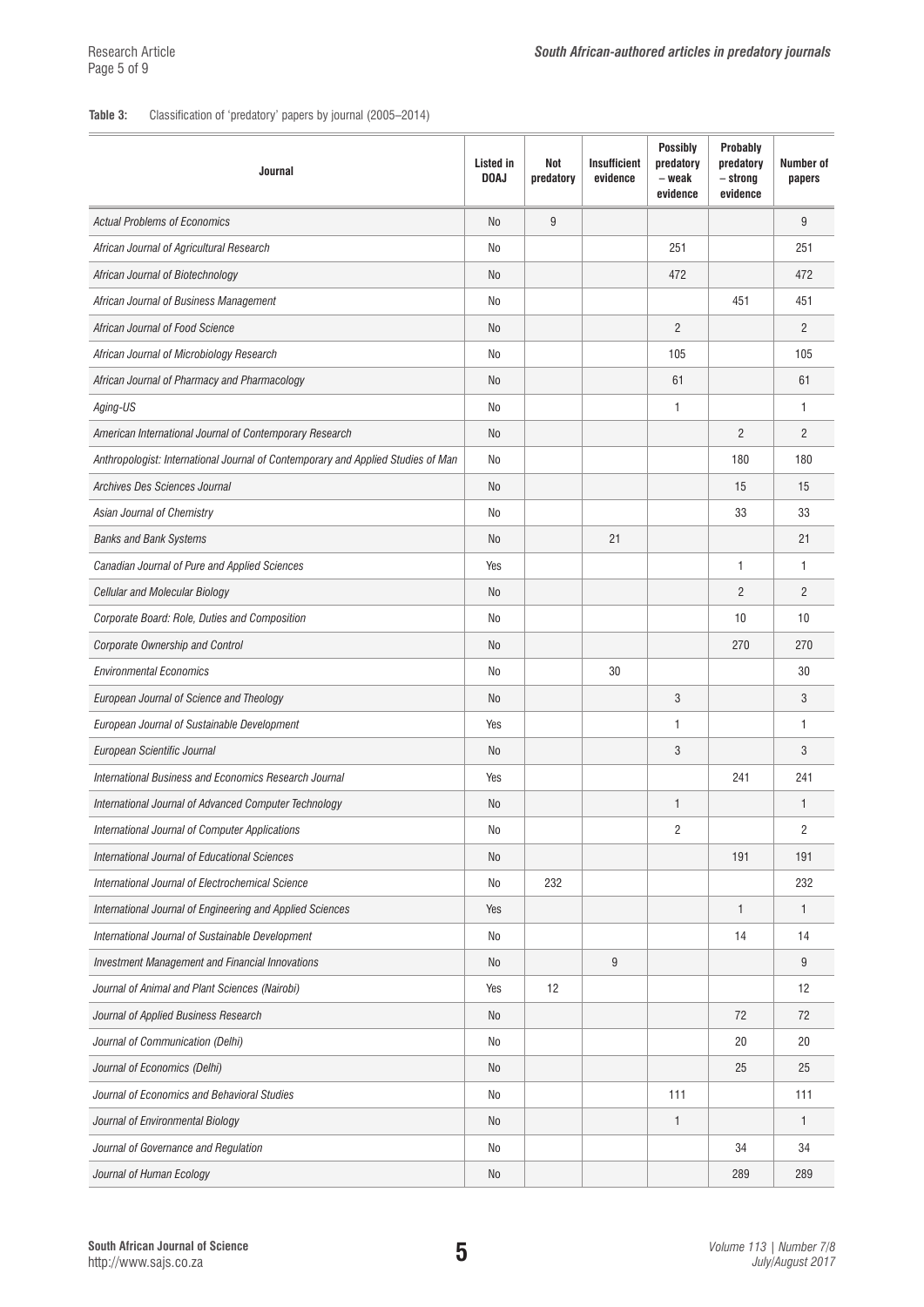**Table 3:** Classification of 'predatory' papers by journal (2005–2014)

| Journal                                                                          | Listed in<br><b>DOAJ</b> | Not<br>predatory | Insufficient<br>evidence | <b>Possibly</b><br>predatory<br>– weak<br>evidence | Probably<br>predatory<br>- strong<br>evidence | Number of<br>papers |
|----------------------------------------------------------------------------------|--------------------------|------------------|--------------------------|----------------------------------------------------|-----------------------------------------------|---------------------|
| <b>Actual Problems of Economics</b>                                              | <b>No</b>                | 9                |                          |                                                    |                                               | 9                   |
| African Journal of Agricultural Research                                         | No                       |                  |                          | 251                                                |                                               | 251                 |
| African Journal of Biotechnology                                                 | No                       |                  |                          | 472                                                |                                               | 472                 |
| African Journal of Business Management                                           | No                       |                  |                          |                                                    | 451                                           | 451                 |
| African Journal of Food Science                                                  | No                       |                  |                          | $\overline{c}$                                     |                                               | $\overline{c}$      |
| African Journal of Microbiology Research                                         | No                       |                  |                          | 105                                                |                                               | 105                 |
| African Journal of Pharmacy and Pharmacology                                     | <b>No</b>                |                  |                          | 61                                                 |                                               | 61                  |
| Aging-US                                                                         | No                       |                  |                          | 1                                                  |                                               | 1                   |
| American International Journal of Contemporary Research                          | No                       |                  |                          |                                                    | $\overline{2}$                                | $\overline{2}$      |
| Anthropologist: International Journal of Contemporary and Applied Studies of Man | No                       |                  |                          |                                                    | 180                                           | 180                 |
| Archives Des Sciences Journal                                                    | No                       |                  |                          |                                                    | 15                                            | 15                  |
| <b>Asian Journal of Chemistry</b>                                                | No                       |                  |                          |                                                    | 33                                            | 33                  |
| <b>Banks and Bank Systems</b>                                                    | <b>No</b>                |                  | 21                       |                                                    |                                               | 21                  |
| Canadian Journal of Pure and Applied Sciences                                    | Yes                      |                  |                          |                                                    | $\mathbf{1}$                                  | 1                   |
| <b>Cellular and Molecular Biology</b>                                            | No                       |                  |                          |                                                    | $\overline{2}$                                | $\overline{2}$      |
| Corporate Board: Role, Duties and Composition                                    | No                       |                  |                          |                                                    | 10                                            | 10                  |
| Corporate Ownership and Control                                                  | No                       |                  |                          |                                                    | 270                                           | 270                 |
| <b>Environmental Economics</b>                                                   | No                       |                  | 30                       |                                                    |                                               | 30                  |
| European Journal of Science and Theology                                         | No                       |                  |                          | 3                                                  |                                               | 3                   |
| European Journal of Sustainable Development                                      | Yes                      |                  |                          | 1                                                  |                                               | 1                   |
| European Scientific Journal                                                      | No                       |                  |                          | 3                                                  |                                               | 3                   |
| <b>International Business and Economics Research Journal</b>                     | Yes                      |                  |                          |                                                    | 241                                           | 241                 |
| International Journal of Advanced Computer Technology                            | <b>No</b>                |                  |                          | $\mathbf{1}$                                       |                                               | $\mathbf{1}$        |
| International Journal of Computer Applications                                   | N0                       |                  |                          | 2                                                  |                                               | 2                   |
| International Journal of Educational Sciences                                    | No                       |                  |                          |                                                    | 191                                           | 191                 |
| International Journal of Electrochemical Science                                 | No                       | 232              |                          |                                                    |                                               | 232                 |
| International Journal of Engineering and Applied Sciences                        | Yes                      |                  |                          |                                                    | $\mathbf{1}$                                  | $\mathbf{1}$        |
| International Journal of Sustainable Development                                 | No                       |                  |                          |                                                    | 14                                            | 14                  |
| <b>Investment Management and Financial Innovations</b>                           | No                       |                  | 9                        |                                                    |                                               | 9                   |
| Journal of Animal and Plant Sciences (Nairobi)                                   | Yes                      | 12               |                          |                                                    |                                               | 12                  |
| Journal of Applied Business Research                                             | No                       |                  |                          |                                                    | 72                                            | 72                  |
| Journal of Communication (Delhi)                                                 | No                       |                  |                          |                                                    | 20                                            | 20                  |
| Journal of Economics (Delhi)                                                     | No                       |                  |                          |                                                    | 25                                            | 25                  |
| Journal of Economics and Behavioral Studies                                      | No                       |                  |                          | 111                                                |                                               | 111                 |
| Journal of Environmental Biology                                                 | No                       |                  |                          | $\mathbf{1}$                                       |                                               | 1                   |
| Journal of Governance and Regulation                                             | No                       |                  |                          |                                                    | 34                                            | 34                  |
| Journal of Human Ecology                                                         | No                       |                  |                          |                                                    | 289                                           | 289                 |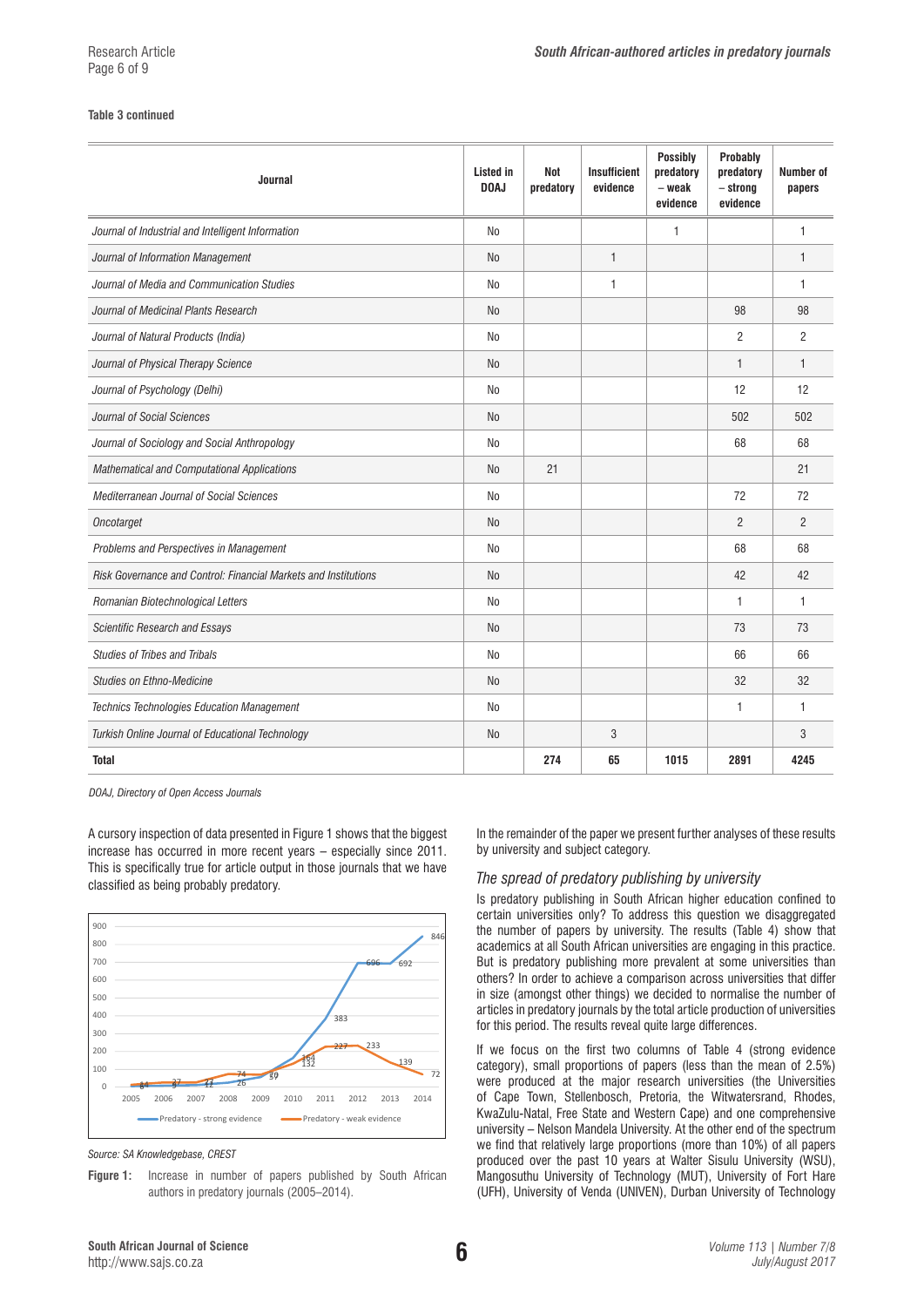#### **Table 3 continued**

| Journal                                                         | Listed in<br><b>DOAJ</b> | <b>Not</b><br>predatory | <b>Insufficient</b><br>evidence | <b>Possibly</b><br>predatory<br>- weak<br>evidence | Probably<br>predatory<br>$-$ strong<br>evidence | Number of<br>papers |
|-----------------------------------------------------------------|--------------------------|-------------------------|---------------------------------|----------------------------------------------------|-------------------------------------------------|---------------------|
| Journal of Industrial and Intelligent Information               | N <sub>0</sub>           |                         |                                 | 1                                                  |                                                 | $\mathbf{1}$        |
| Journal of Information Management                               | N <sub>0</sub>           |                         | $\mathbf{1}$                    |                                                    |                                                 | $\mathbf{1}$        |
| Journal of Media and Communication Studies                      | No                       |                         | 1                               |                                                    |                                                 | 1                   |
| Journal of Medicinal Plants Research                            | No                       |                         |                                 |                                                    | 98                                              | 98                  |
| Journal of Natural Products (India)                             | No                       |                         |                                 |                                                    | $\overline{2}$                                  | $\overline{c}$      |
| Journal of Physical Therapy Science                             | N <sub>0</sub>           |                         |                                 |                                                    | $\mathbf{1}$                                    | $\mathbf{1}$        |
| Journal of Psychology (Delhi)                                   | No                       |                         |                                 |                                                    | 12                                              | 12                  |
| Journal of Social Sciences                                      | N <sub>0</sub>           |                         |                                 |                                                    | 502                                             | 502                 |
| Journal of Sociology and Social Anthropology                    | No                       |                         |                                 |                                                    | 68                                              | 68                  |
| Mathematical and Computational Applications                     | N <sub>0</sub>           | 21                      |                                 |                                                    |                                                 | 21                  |
| <b>Mediterranean Journal of Social Sciences</b>                 | No                       |                         |                                 |                                                    | 72                                              | 72                  |
| Oncotarget                                                      | No.                      |                         |                                 |                                                    | $\overline{2}$                                  | $\overline{2}$      |
| Problems and Perspectives in Management                         | No                       |                         |                                 |                                                    | 68                                              | 68                  |
| Risk Governance and Control: Financial Markets and Institutions | N <sub>0</sub>           |                         |                                 |                                                    | 42                                              | 42                  |
| Romanian Biotechnological Letters                               | No                       |                         |                                 |                                                    | $\mathbf{1}$                                    | $\mathbf{1}$        |
| Scientific Research and Essays                                  | N <sub>0</sub>           |                         |                                 |                                                    | 73                                              | 73                  |
| Studies of Tribes and Tribals                                   | N <sub>0</sub>           |                         |                                 |                                                    | 66                                              | 66                  |
| <b>Studies on Ethno-Medicine</b>                                | N <sub>0</sub>           |                         |                                 |                                                    | 32                                              | 32                  |
| Technics Technologies Education Management                      | No                       |                         |                                 |                                                    | $\mathbf{1}$                                    | $\mathbf{1}$        |
| Turkish Online Journal of Educational Technology                | No                       |                         | 3                               |                                                    |                                                 | 3                   |
| <b>Total</b>                                                    |                          | 274                     | 65                              | 1015                                               | 2891                                            | 4245                |

*DOAJ, Directory of Open Access Journals*

A cursory inspection of data presented in Figure 1 shows that the biggest increase has occurred in more recent years – especially since 2011. This is specifically true for article output in those journals that we have classified as being probably predatory.



*Source: SA Knowledgebase, CREST*

**Figure 1:** Increase in number of papers published by South African authors in predatory journals (2005–2014).

In the remainder of the paper we present further analyses of these results by university and subject category.

# *The spread of predatory publishing by university*

Is predatory publishing in South African higher education confined to certain universities only? To address this question we disaggregated the number of papers by university. The results (Table 4) show that academics at all South African universities are engaging in this practice. But is predatory publishing more prevalent at some universities than others? In order to achieve a comparison across universities that differ in size (amongst other things) we decided to normalise the number of articles in predatory journals by the total article production of universities for this period. The results reveal quite large differences.

If we focus on the first two columns of Table 4 (strong evidence category), small proportions of papers (less than the mean of 2.5%) were produced at the major research universities (the Universities of Cape Town, Stellenbosch, Pretoria, the Witwatersrand, Rhodes, KwaZulu-Natal, Free State and Western Cape) and one comprehensive university – Nelson Mandela University. At the other end of the spectrum we find that relatively large proportions (more than 10%) of all papers produced over the past 10 years at Walter Sisulu University (WSU), Mangosuthu University of Technology (MUT), University of Fort Hare (UFH), University of Venda (UNIVEN), Durban University of Technology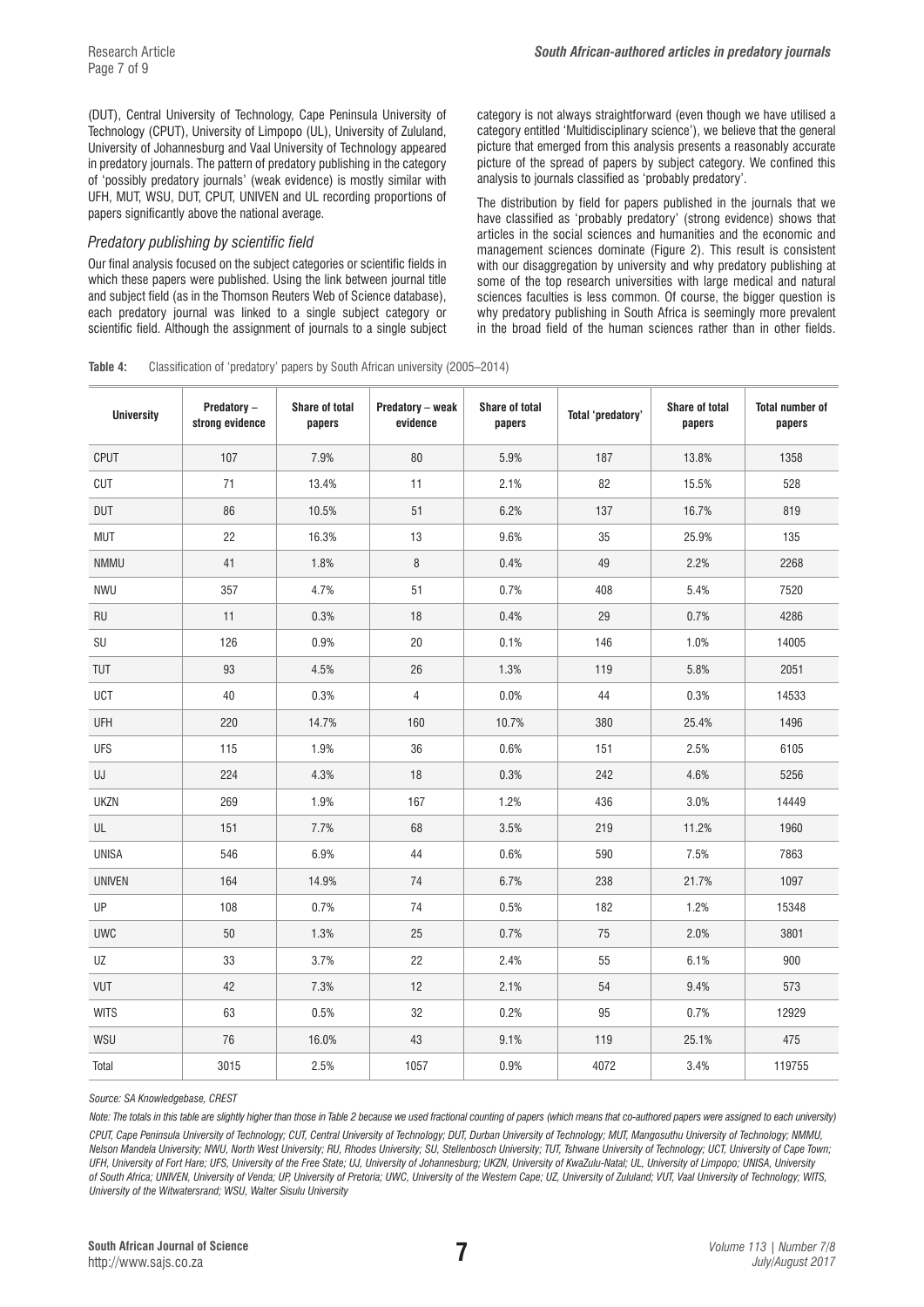(DUT), Central University of Technology, Cape Peninsula University of Technology (CPUT), University of Limpopo (UL), University of Zululand, University of Johannesburg and Vaal University of Technology appeared in predatory journals. The pattern of predatory publishing in the category of 'possibly predatory journals' (weak evidence) is mostly similar with UFH, MUT, WSU, DUT, CPUT, UNIVEN and UL recording proportions of papers significantly above the national average.

# *Predatory publishing by scientific field*

Our final analysis focused on the subject categories or scientific fields in which these papers were published. Using the link between journal title and subject field (as in the Thomson Reuters Web of Science database), each predatory journal was linked to a single subject category or scientific field. Although the assignment of journals to a single subject category is not always straightforward (even though we have utilised a category entitled 'Multidisciplinary science'), we believe that the general picture that emerged from this analysis presents a reasonably accurate picture of the spread of papers by subject category. We confined this analysis to journals classified as 'probably predatory'.

The distribution by field for papers published in the journals that we have classified as 'probably predatory' (strong evidence) shows that articles in the social sciences and humanities and the economic and management sciences dominate (Figure 2). This result is consistent with our disaggregation by university and why predatory publishing at some of the top research universities with large medical and natural sciences faculties is less common. Of course, the bigger question is why predatory publishing in South Africa is seemingly more prevalent in the broad field of the human sciences rather than in other fields.

**Table 4:** Classification of 'predatory' papers by South African university (2005–2014)

| <b>University</b> | Predatory-<br>strong evidence | Share of total<br>papers | Predatory - weak<br>evidence | <b>Share of total</b><br>papers | Total 'predatory' | <b>Share of total</b><br>papers | <b>Total number of</b><br>papers |
|-------------------|-------------------------------|--------------------------|------------------------------|---------------------------------|-------------------|---------------------------------|----------------------------------|
| <b>CPUT</b>       | 107                           | 7.9%                     | 80                           | 5.9%                            | 187               | 13.8%                           | 1358                             |
| <b>CUT</b>        | 71                            | 13.4%                    | 11                           | 2.1%                            | 82                | 15.5%                           | 528                              |
| <b>DUT</b>        | 86                            | 10.5%                    | 51                           | 6.2%                            | 137               | 16.7%                           | 819                              |
| <b>MUT</b>        | 22                            | 16.3%                    | 13                           | 9.6%                            | 35                | 25.9%                           | 135                              |
| <b>NMMU</b>       | 41                            | 1.8%                     | 8                            | 0.4%                            | 49                | 2.2%                            | 2268                             |
| <b>NWU</b>        | 357                           | 4.7%                     | 51                           | 0.7%                            | 408               | 5.4%                            | 7520                             |
| <b>RU</b>         | 11                            | 0.3%                     | 18                           | 0.4%                            | 29                | 0.7%                            | 4286                             |
| SU                | 126                           | 0.9%                     | 20                           | 0.1%                            | 146               | 1.0%                            | 14005                            |
| <b>TUT</b>        | 93                            | 4.5%                     | 26                           | 1.3%                            | 119               | 5.8%                            | 2051                             |
| UCT               | 40                            | 0.3%                     | $\overline{4}$               | 0.0%                            | 44                | 0.3%                            | 14533                            |
| <b>UFH</b>        | 220                           | 14.7%                    | 160                          | 10.7%                           | 380               | 25.4%                           | 1496                             |
| <b>UFS</b>        | 115                           | 1.9%                     | 36                           | 0.6%                            | 151               | 2.5%                            | 6105                             |
| UJ                | 224                           | 4.3%                     | 18                           | 0.3%                            | 242               | 4.6%                            | 5256                             |
| <b>UKZN</b>       | 269                           | 1.9%                     | 167                          | 1.2%                            | 436               | 3.0%                            | 14449                            |
| UL                | 151                           | 7.7%                     | 68                           | 3.5%                            | 219               | 11.2%                           | 1960                             |
| <b>UNISA</b>      | 546                           | 6.9%                     | 44                           | 0.6%                            | 590               | 7.5%                            | 7863                             |
| <b>UNIVEN</b>     | 164                           | 14.9%                    | 74                           | 6.7%                            | 238               | 21.7%                           | 1097                             |
| UP                | 108                           | 0.7%                     | 74                           | 0.5%                            | 182               | 1.2%                            | 15348                            |
| <b>UWC</b>        | 50                            | 1.3%                     | 25                           | 0.7%                            | 75                | 2.0%                            | 3801                             |
| UZ                | 33                            | 3.7%                     | 22                           | 2.4%                            | 55                | 6.1%                            | 900                              |
| <b>VUT</b>        | 42                            | 7.3%                     | 12                           | 2.1%                            | 54                | 9.4%                            | 573                              |
| <b>WITS</b>       | 63                            | 0.5%                     | 32                           | 0.2%                            | 95                | 0.7%                            | 12929                            |
| WSU               | 76                            | 16.0%                    | 43                           | 9.1%                            | 119               | 25.1%                           | 475                              |
| Total             | 3015                          | 2.5%                     | 1057                         | 0.9%                            | 4072              | 3.4%                            | 119755                           |

*Source: SA Knowledgebase, CREST*

*Note: The totals in this table are slightly higher than those in Table 2 because we used fractional counting of papers (which means that co-authored papers were assigned to each university)*

*CPUT, Cape Peninsula University of Technology; CUT, Central University of Technology; DUT, Durban University of Technology; MUT, Mangosuthu University of Technology; NMMU, Nelson Mandela University; NWU, North West University; RU, Rhodes University; SU, Stellenbosch University; TUT, Tshwane University of Technology; UCT, University of Cape Town; UFH, University of Fort Hare; UFS, University of the Free State; UJ, University of Johannesburg; UKZN, University of KwaZulu-Natal; UL, University of Limpopo; UNISA, University of South Africa; UNIVEN, University of Venda; UP, University of Pretoria; UWC, University of the Western Cape; UZ, University of Zululand; VUT, Vaal University of Technology; WITS, University of the Witwatersrand; WSU, Walter Sisulu University*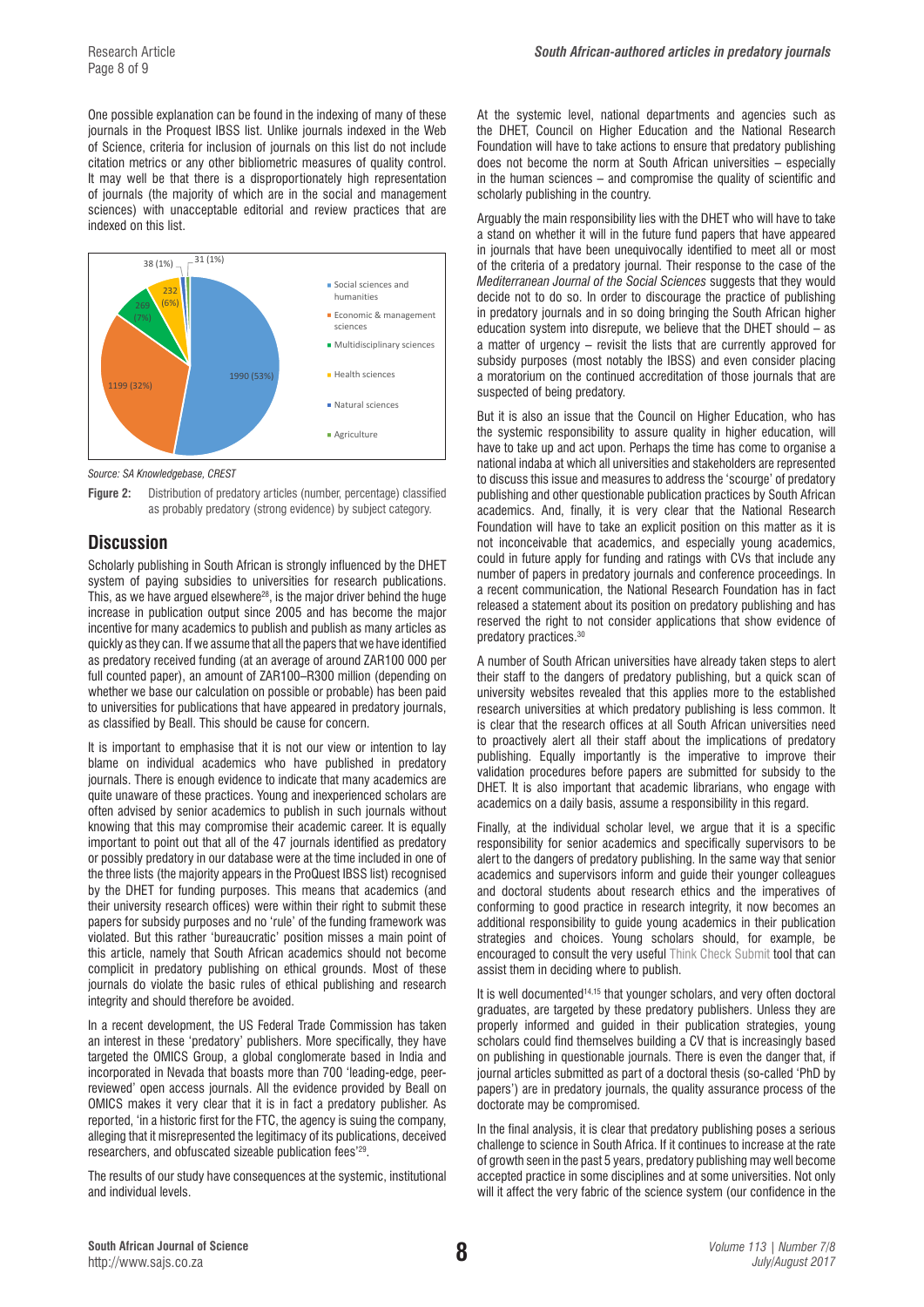

*Source: SA Knowledgebase, CREST*

# **Discussion**

Scholarly publishing in South African is strongly influenced by the DHET system of paying subsidies to universities for research publications. This, as we have argued elsewhere<sup>28</sup>, is the major driver behind the huge increase in publication output since 2005 and has become the major incentive for many academics to publish and publish as many articles as quickly as they can. If we assume that all the papers that we have identified as predatory received funding (at an average of around ZAR100 000 per full counted paper), an amount of ZAR100–R300 million (depending on whether we base our calculation on possible or probable) has been paid to universities for publications that have appeared in predatory journals, as classified by Beall. This should be cause for concern.

It is important to emphasise that it is not our view or intention to lay blame on individual academics who have published in predatory journals. There is enough evidence to indicate that many academics are quite unaware of these practices. Young and inexperienced scholars are often advised by senior academics to publish in such journals without knowing that this may compromise their academic career. It is equally important to point out that all of the 47 journals identified as predatory or possibly predatory in our database were at the time included in one of the three lists (the majority appears in the ProQuest IBSS list) recognised by the DHET for funding purposes. This means that academics (and their university research offices) were within their right to submit these papers for subsidy purposes and no 'rule' of the funding framework was violated. But this rather 'bureaucratic' position misses a main point of this article, namely that South African academics should not become complicit in predatory publishing on ethical grounds. Most of these journals do violate the basic rules of ethical publishing and research integrity and should therefore be avoided.

In a recent development, the US Federal Trade Commission has taken an interest in these 'predatory' publishers. More specifically, they have targeted the OMICS Group, a global conglomerate based in India and incorporated in Nevada that boasts more than 700 'leading-edge, peerreviewed' open access journals. All the evidence provided by Beall on OMICS makes it very clear that it is in fact a predatory publisher. As reported, 'in a historic first for the FTC, the agency is suing the company, alleging that it misrepresented the legitimacy of its publications, deceived researchers, and obfuscated sizeable publication fees'29.

The results of our study have consequences at the systemic, institutional and individual levels.

At the systemic level, national departments and agencies such as the DHET, Council on Higher Education and the National Research Foundation will have to take actions to ensure that predatory publishing does not become the norm at South African universities – especially in the human sciences – and compromise the quality of scientific and scholarly publishing in the country.

Arguably the main responsibility lies with the DHET who will have to take a stand on whether it will in the future fund papers that have appeared in journals that have been unequivocally identified to meet all or most of the criteria of a predatory journal. Their response to the case of the *Mediterranean Journal of the Social Sciences* suggests that they would decide not to do so. In order to discourage the practice of publishing in predatory journals and in so doing bringing the South African higher education system into disrepute, we believe that the DHET should – as a matter of urgency – revisit the lists that are currently approved for subsidy purposes (most notably the IBSS) and even consider placing a moratorium on the continued accreditation of those journals that are suspected of being predatory.

But it is also an issue that the Council on Higher Education, who has the systemic responsibility to assure quality in higher education, will have to take up and act upon. Perhaps the time has come to organise a national indaba at which all universities and stakeholders are represented to discuss this issue and measures to address the 'scourge' of predatory publishing and other questionable publication practices by South African academics. And, finally, it is very clear that the National Research Foundation will have to take an explicit position on this matter as it is not inconceivable that academics, and especially young academics, could in future apply for funding and ratings with CVs that include any number of papers in predatory journals and conference proceedings. In a recent communication, the National Research Foundation has in fact released a statement about its position on predatory publishing and has reserved the right to not consider applications that show evidence of predatory practices.<sup>30</sup>

A number of South African universities have already taken steps to alert their staff to the dangers of predatory publishing, but a quick scan of university websites revealed that this applies more to the established research universities at which predatory publishing is less common. It is clear that the research offices at all South African universities need to proactively alert all their staff about the implications of predatory publishing. Equally importantly is the imperative to improve their validation procedures before papers are submitted for subsidy to the DHET. It is also important that academic librarians, who engage with academics on a daily basis, assume a responsibility in this regard.

Finally, at the individual scholar level, we argue that it is a specific responsibility for senior academics and specifically supervisors to be alert to the dangers of predatory publishing. In the same way that senior academics and supervisors inform and guide their younger colleagues and doctoral students about research ethics and the imperatives of conforming to good practice in research integrity, it now becomes an additional responsibility to guide young academics in their publication strategies and choices. Young scholars should, for example, be encouraged to consult the very useful [Think Check Submit](http://thinkchecksubmit.org/) tool that can assist them in deciding where to publish.

It is well documented<sup>14,15</sup> that younger scholars, and very often doctoral graduates, are targeted by these predatory publishers. Unless they are properly informed and guided in their publication strategies, young scholars could find themselves building a CV that is increasingly based on publishing in questionable journals. There is even the danger that, if journal articles submitted as part of a doctoral thesis (so-called 'PhD by papers') are in predatory journals, the quality assurance process of the doctorate may be compromised.

In the final analysis, it is clear that predatory publishing poses a serious challenge to science in South Africa. If it continues to increase at the rate of growth seen in the past 5 years, predatory publishing may well become accepted practice in some disciplines and at some universities. Not only will it affect the very fabric of the science system (our confidence in the

**Figure 2:** Distribution of predatory articles (number, percentage) classified as probably predatory (strong evidence) by subject category.